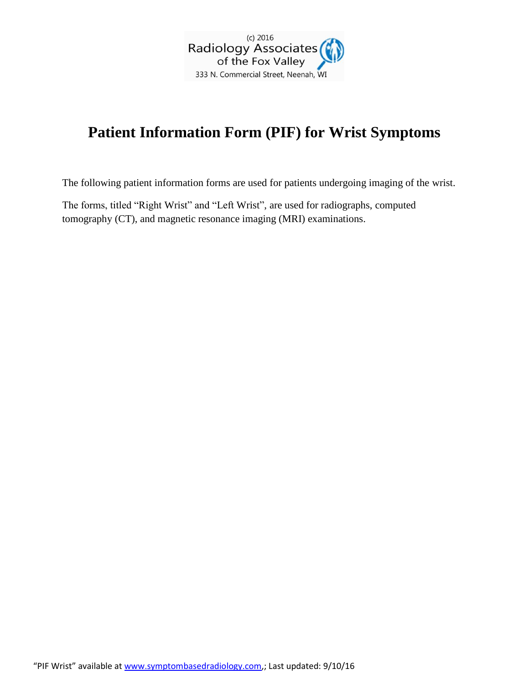

## **Patient Information Form (PIF) for Wrist Symptoms**

The following patient information forms are used for patients undergoing imaging of the wrist.

The forms, titled "Right Wrist" and "Left Wrist", are used for radiographs, computed tomography (CT), and magnetic resonance imaging (MRI) examinations.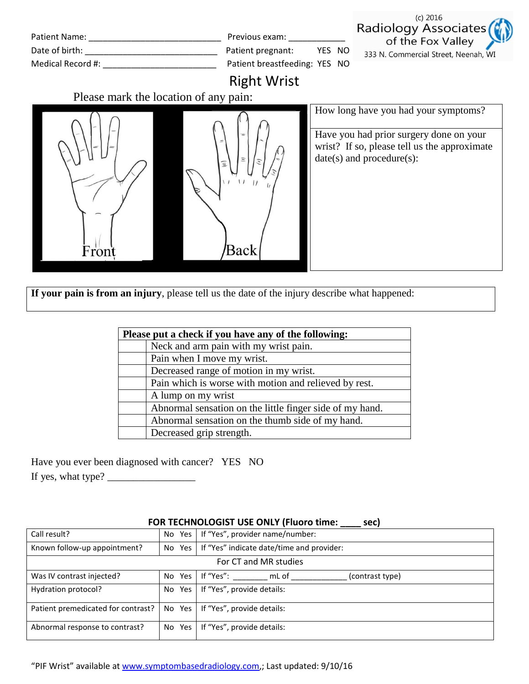| Patient Name: Name: Name and Separate and Separate and Separate and Separate and Separate and Separate and Separate and Separate and Separate and Separate and Separate and Separate and Separate and Separate and Separate an | Previous exam:                | YES NO | $(c)$ 2016                                                                                                                                                         |
|--------------------------------------------------------------------------------------------------------------------------------------------------------------------------------------------------------------------------------|-------------------------------|--------|--------------------------------------------------------------------------------------------------------------------------------------------------------------------|
|                                                                                                                                                                                                                                | Patient pregnant:             |        | Radiology Associates                                                                                                                                               |
| Medical Record #: Next Record #:                                                                                                                                                                                               | Patient breastfeeding: YES NO |        | of the Fox Valley                                                                                                                                                  |
| Please mark the location of any pain:                                                                                                                                                                                          | <b>Right Wrist</b>            |        | 333 N. Commercial Street, Neenah, WI                                                                                                                               |
| r ror                                                                                                                                                                                                                          | Ξ<br>Back                     |        | How long have you had your symptoms?<br>Have you had prior surgery done on your<br>wrist? If so, please tell us the approximate<br>$date(s)$ and procedure $(s)$ : |

**If your pain is from an injury**, please tell us the date of the injury describe what happened:

| Please put a check if you have any of the following:     |  |
|----------------------------------------------------------|--|
| Neck and arm pain with my wrist pain.                    |  |
| Pain when I move my wrist.                               |  |
| Decreased range of motion in my wrist.                   |  |
| Pain which is worse with motion and relieved by rest.    |  |
| A lump on my wrist                                       |  |
| Abnormal sensation on the little finger side of my hand. |  |
| Abnormal sensation on the thumb side of my hand.         |  |
| Decreased grip strength.                                 |  |

Have you ever been diagnosed with cancer? YES NO If yes, what type? \_\_\_\_\_\_\_\_\_\_\_\_\_\_\_\_\_

| Call result?                       |  | No Yes   If "Yes", provider name/number:           |  |
|------------------------------------|--|----------------------------------------------------|--|
| Known follow-up appointment?       |  | No Yes   If "Yes" indicate date/time and provider: |  |
| For CT and MR studies              |  |                                                    |  |
| Was IV contrast injected?          |  | No Yes I If "Yes":<br>mL of<br>(contrast type)     |  |
| Hydration protocol?                |  | No Yes   If "Yes", provide details:                |  |
| Patient premedicated for contrast? |  | No Yes   If "Yes", provide details:                |  |
| Abnormal response to contrast?     |  | No Yes   If "Yes", provide details:                |  |

## **FOR TECHNOLOGIST USE ONLY (Fluoro time: \_\_\_\_ sec)**

"PIF Wrist" available at [www.symptombasedradiology.com,](http://www.symptombasedradiology.com/); Last updated: 9/10/16